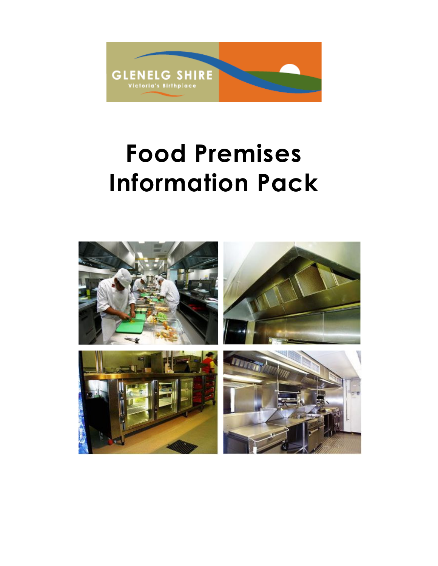

# Food Premises Information Pack

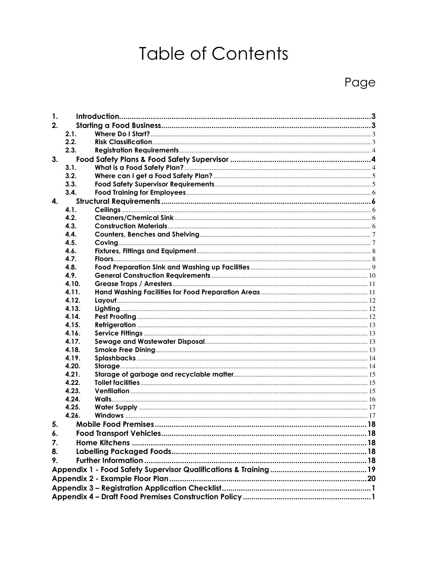## **Table of Contents**

## Page

| 1. |                |  |  |  |  |  |  |  |
|----|----------------|--|--|--|--|--|--|--|
| 2. |                |  |  |  |  |  |  |  |
|    | 2.1.           |  |  |  |  |  |  |  |
|    | 2.2.           |  |  |  |  |  |  |  |
|    | 2.3.           |  |  |  |  |  |  |  |
| 3. |                |  |  |  |  |  |  |  |
|    | 3.1.           |  |  |  |  |  |  |  |
|    | 3.2.           |  |  |  |  |  |  |  |
|    | 3.3.           |  |  |  |  |  |  |  |
|    | 3.4.           |  |  |  |  |  |  |  |
| 4. |                |  |  |  |  |  |  |  |
|    | 4.1.           |  |  |  |  |  |  |  |
|    | 4.2.           |  |  |  |  |  |  |  |
|    | 4.3.           |  |  |  |  |  |  |  |
|    | 4.4.           |  |  |  |  |  |  |  |
|    | 4.5.           |  |  |  |  |  |  |  |
|    | 4.6.           |  |  |  |  |  |  |  |
|    | 4.7.           |  |  |  |  |  |  |  |
|    | 4.8.           |  |  |  |  |  |  |  |
|    | 4.9.           |  |  |  |  |  |  |  |
|    | 4.10.          |  |  |  |  |  |  |  |
|    | 4.11.          |  |  |  |  |  |  |  |
|    | 4.12.          |  |  |  |  |  |  |  |
|    | 4.13.          |  |  |  |  |  |  |  |
|    | 4.14.          |  |  |  |  |  |  |  |
|    | 4.15.          |  |  |  |  |  |  |  |
|    | 4.16.          |  |  |  |  |  |  |  |
|    | 4.17.          |  |  |  |  |  |  |  |
|    | 4.18.          |  |  |  |  |  |  |  |
|    | 4.19.          |  |  |  |  |  |  |  |
|    | 4.20.          |  |  |  |  |  |  |  |
|    | 4.21.          |  |  |  |  |  |  |  |
|    | 4.22.          |  |  |  |  |  |  |  |
|    | 4.23.<br>4.24. |  |  |  |  |  |  |  |
|    | 4.25.          |  |  |  |  |  |  |  |
|    | 4.26.          |  |  |  |  |  |  |  |
|    |                |  |  |  |  |  |  |  |
| 5. |                |  |  |  |  |  |  |  |
| 6. |                |  |  |  |  |  |  |  |
| 7. |                |  |  |  |  |  |  |  |
| 8. |                |  |  |  |  |  |  |  |
| 9. |                |  |  |  |  |  |  |  |
|    |                |  |  |  |  |  |  |  |
|    |                |  |  |  |  |  |  |  |
|    |                |  |  |  |  |  |  |  |
|    |                |  |  |  |  |  |  |  |
|    |                |  |  |  |  |  |  |  |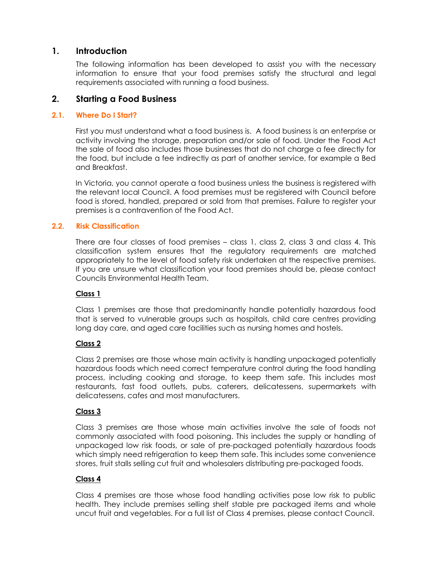## 1. Introduction

The following information has been developed to assist you with the necessary information to ensure that your food premises satisfy the structural and legal requirements associated with running a food business.

## 2. Starting a Food Business

#### 2.1. Where Do I Start?

First you must understand what a food business is. A food business is an enterprise or activity involving the storage, preparation and/or sale of food. Under the Food Act the sale of food also includes those businesses that do not charge a fee directly for the food, but include a fee indirectly as part of another service, for example a Bed and Breakfast.

In Victoria, you cannot operate a food business unless the business is registered with the relevant local Council. A food premises must be registered with Council before food is stored, handled, prepared or sold from that premises. Failure to register your premises is a contravention of the Food Act.

#### 2.2. Risk Classification

There are four classes of food premises – class 1, class 2, class 3 and class 4. This classification system ensures that the regulatory requirements are matched appropriately to the level of food safety risk undertaken at the respective premises. If you are unsure what classification your food premises should be, please contact Councils Environmental Health Team.

#### Class 1

Class 1 premises are those that predominantly handle potentially hazardous food that is served to vulnerable groups such as hospitals, child care centres providing long day care, and aged care facilities such as nursing homes and hostels.

## Class 2

Class 2 premises are those whose main activity is handling unpackaged potentially hazardous foods which need correct temperature control during the food handling process, including cooking and storage, to keep them safe. This includes most restaurants, fast food outlets, pubs, caterers, delicatessens, supermarkets with delicatessens, cafes and most manufacturers.

## Class 3

Class 3 premises are those whose main activities involve the sale of foods not commonly associated with food poisoning. This includes the supply or handling of unpackaged low risk foods, or sale of pre-packaged potentially hazardous foods which simply need refrigeration to keep them safe. This includes some convenience stores, fruit stalls selling cut fruit and wholesalers distributing pre-packaged foods.

## Class 4

Class 4 premises are those whose food handling activities pose low risk to public health. They include premises selling shelf stable pre packaged items and whole uncut fruit and vegetables. For a full list of Class 4 premises, please contact Council.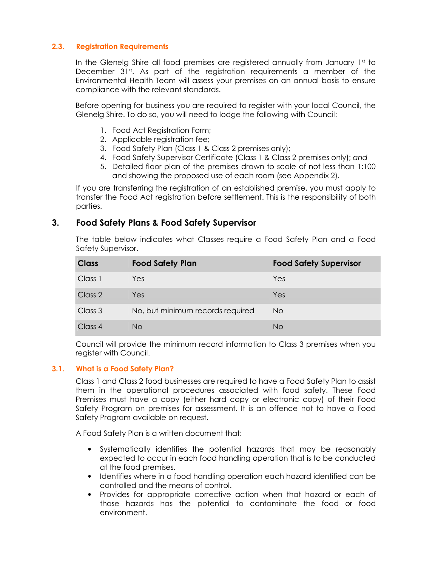#### 2.3. Registration Requirements

In the Glenelg Shire all food premises are registered annually from January 1st to December 31<sup>st</sup>. As part of the registration requirements a member of the Environmental Health Team will assess your premises on an annual basis to ensure compliance with the relevant standards.

Before opening for business you are required to register with your local Council, the Glenelg Shire. To do so, you will need to lodge the following with Council:

- 1. Food Act Registration Form;
- 2. Applicable registration fee;
- 3. Food Safety Plan (Class 1 & Class 2 premises only);
- 4. Food Safety Supervisor Certificate (Class 1 & Class 2 premises only); and
- 5. Detailed floor plan of the premises drawn to scale of not less than 1:100 and showing the proposed use of each room (see Appendix 2).

If you are transferring the registration of an established premise, you must apply to transfer the Food Act registration before settlement. This is the responsibility of both parties.

## 3. Food Safety Plans & Food Safety Supervisor

The table below indicates what Classes require a Food Safety Plan and a Food Safety Supervisor.

| <b>Class</b> | <b>Food Safety Plan</b>          | <b>Food Safety Supervisor</b> |
|--------------|----------------------------------|-------------------------------|
| Class 1      | Yes                              | Yes                           |
| Class 2      | Yes:                             | Yes                           |
| Class 3      | No, but minimum records required | No.                           |
| Class 4      | No.                              | No                            |

Council will provide the minimum record information to Class 3 premises when you register with Council.

#### 3.1. What is a Food Safety Plan?

Class 1 and Class 2 food businesses are required to have a Food Safety Plan to assist them in the operational procedures associated with food safety. These Food Premises must have a copy (either hard copy or electronic copy) of their Food Safety Program on premises for assessment. It is an offence not to have a Food Safety Program available on request.

A Food Safety Plan is a written document that:

- Systematically identifies the potential hazards that may be reasonably expected to occur in each food handling operation that is to be conducted at the food premises.
- Identifies where in a food handling operation each hazard identified can be controlled and the means of control.
- Provides for appropriate corrective action when that hazard or each of those hazards has the potential to contaminate the food or food environment.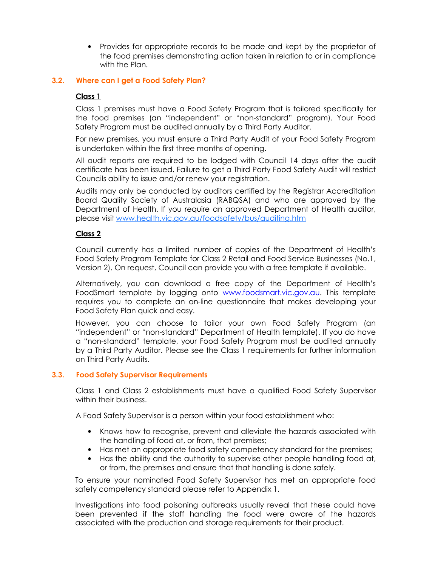• Provides for appropriate records to be made and kept by the proprietor of the food premises demonstrating action taken in relation to or in compliance with the Plan.

#### 3.2. Where can I get a Food Safety Plan?

#### Class 1

Class 1 premises must have a Food Safety Program that is tailored specifically for the food premises (an "independent" or "non-standard" program). Your Food Safety Program must be audited annually by a Third Party Auditor.

For new premises, you must ensure a Third Party Audit of your Food Safety Program is undertaken within the first three months of opening.

All audit reports are required to be lodged with Council 14 days after the audit certificate has been issued. Failure to get a Third Party Food Safety Audit will restrict Councils ability to issue and/or renew your registration.

Audits may only be conducted by auditors certified by the Registrar Accreditation Board Quality Society of Australasia (RABQSA) and who are approved by the Department of Health. If you require an approved Department of Health auditor, please visit www.health.vic.gov.au/foodsafety/bus/auditing.htm

#### Class 2

Council currently has a limited number of copies of the Department of Health's Food Safety Program Template for Class 2 Retail and Food Service Businesses (No.1, Version 2). On request, Council can provide you with a free template if available.

Alternatively, you can download a free copy of the Department of Health's FoodSmart template by logging onto www.foodsmart.vic.gov.au. This template requires you to complete an on-line questionnaire that makes developing your Food Safety Plan quick and easy.

However, you can choose to tailor your own Food Safety Program (an "independent" or "non-standard" Department of Health template). If you do have a "non-standard" template, your Food Safety Program must be audited annually by a Third Party Auditor. Please see the Class 1 requirements for further information on Third Party Audits.

#### 3.3. Food Safety Supervisor Requirements

Class 1 and Class 2 establishments must have a qualified Food Safety Supervisor within their business.

A Food Safety Supervisor is a person within your food establishment who:

- Knows how to recognise, prevent and alleviate the hazards associated with the handling of food at, or from, that premises;
- Has met an appropriate food safety competency standard for the premises;
- Has the ability and the authority to supervise other people handling food at, or from, the premises and ensure that that handling is done safely.

To ensure your nominated Food Safety Supervisor has met an appropriate food safety competency standard please refer to Appendix 1.

Investigations into food poisoning outbreaks usually reveal that these could have been prevented if the staff handling the food were aware of the hazards associated with the production and storage requirements for their product.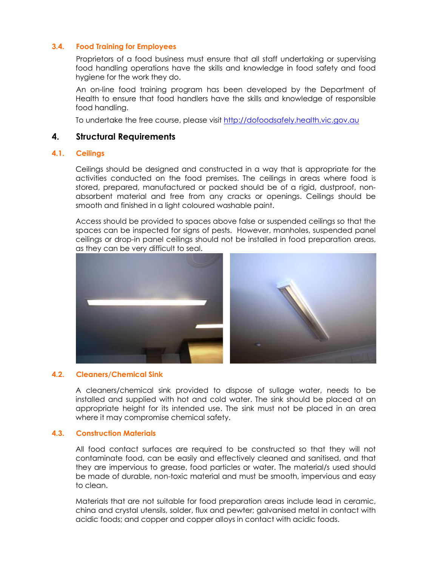#### 3.4. Food Training for Employees

Proprietors of a food business must ensure that all staff undertaking or supervising food handling operations have the skills and knowledge in food safety and food hygiene for the work they do.

An on-line food training program has been developed by the Department of Health to ensure that food handlers have the skills and knowledge of responsible food handling.

To undertake the free course, please visit http://dofoodsafely.health.vic.gov.au

#### 4. Structural Requirements

#### 4.1. Ceilings

Ceilings should be designed and constructed in a way that is appropriate for the activities conducted on the food premises. The ceilings in areas where food is stored, prepared, manufactured or packed should be of a rigid, dustproof, nonabsorbent material and free from any cracks or openings. Ceilings should be smooth and finished in a light coloured washable paint.

Access should be provided to spaces above false or suspended ceilings so that the spaces can be inspected for signs of pests. However, manholes, suspended panel ceilings or drop-in panel ceilings should not be installed in food preparation areas, as they can be very difficult to seal.



#### 4.2. Cleaners/Chemical Sink

A cleaners/chemical sink provided to dispose of sullage water, needs to be installed and supplied with hot and cold water. The sink should be placed at an appropriate height for its intended use. The sink must not be placed in an area where it may compromise chemical safety.

#### 4.3. Construction Materials

All food contact surfaces are required to be constructed so that they will not contaminate food, can be easily and effectively cleaned and sanitised, and that they are impervious to grease, food particles or water. The material/s used should be made of durable, non-toxic material and must be smooth, impervious and easy to clean.

Materials that are not suitable for food preparation areas include lead in ceramic, china and crystal utensils, solder, flux and pewter; galvanised metal in contact with acidic foods; and copper and copper alloys in contact with acidic foods.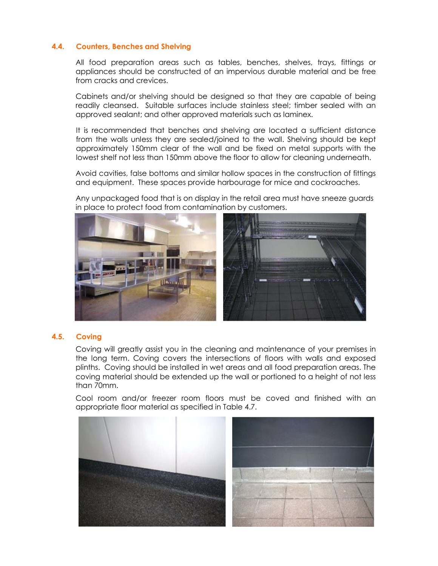#### 4.4. Counters, Benches and Shelving

All food preparation areas such as tables, benches, shelves, trays, fittings or appliances should be constructed of an impervious durable material and be free from cracks and crevices.

Cabinets and/or shelving should be designed so that they are capable of being readily cleansed. Suitable surfaces include stainless steel; timber sealed with an approved sealant; and other approved materials such as laminex.

It is recommended that benches and shelving are located a sufficient distance from the walls unless they are sealed/joined to the wall. Shelving should be kept approximately 150mm clear of the wall and be fixed on metal supports with the lowest shelf not less than 150mm above the floor to allow for cleaning underneath.

Avoid cavities, false bottoms and similar hollow spaces in the construction of fittings and equipment. These spaces provide harbourage for mice and cockroaches.

Any unpackaged food that is on display in the retail area must have sneeze guards in place to protect food from contamination by customers.



#### 4.5. Coving

Coving will greatly assist you in the cleaning and maintenance of your premises in the long term. Coving covers the intersections of floors with walls and exposed plinths. Coving should be installed in wet areas and all food preparation areas. The coving material should be extended up the wall or portioned to a height of not less than 70mm.

Cool room and/or freezer room floors must be coved and finished with an appropriate floor material as specified in Table 4.7.

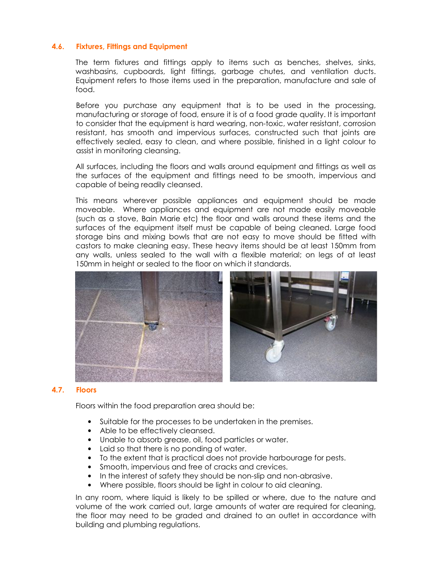#### 4.6. Fixtures, Fittings and Equipment

The term fixtures and fittings apply to items such as benches, shelves, sinks, washbasins, cupboards, light fittings, garbage chutes, and ventilation ducts. Equipment refers to those items used in the preparation, manufacture and sale of food.

Before you purchase any equipment that is to be used in the processing, manufacturing or storage of food, ensure it is of a food grade quality. It is important to consider that the equipment is hard wearing, non-toxic, water resistant, corrosion resistant, has smooth and impervious surfaces, constructed such that joints are effectively sealed, easy to clean, and where possible, finished in a light colour to assist in monitoring cleansing.

All surfaces, including the floors and walls around equipment and fittings as well as the surfaces of the equipment and fittings need to be smooth, impervious and capable of being readily cleansed.

This means wherever possible appliances and equipment should be made moveable. Where appliances and equipment are not made easily moveable (such as a stove, Bain Marie etc) the floor and walls around these items and the surfaces of the equipment itself must be capable of being cleaned. Large food storage bins and mixing bowls that are not easy to move should be fitted with castors to make cleaning easy. These heavy items should be at least 150mm from any walls, unless sealed to the wall with a flexible material; on legs of at least 150mm in height or sealed to the floor on which it standards.



#### 4.7. Floors

Floors within the food preparation area should be:

- Suitable for the processes to be undertaken in the premises.
- Able to be effectively cleansed.
- Unable to absorb grease, oil, food particles or water.
- Laid so that there is no ponding of water.
- To the extent that is practical does not provide harbourage for pests.
- Smooth, impervious and free of cracks and crevices.
- In the interest of safety they should be non-slip and non-abrasive.
- Where possible, floors should be light in colour to aid cleaning.

In any room, where liquid is likely to be spilled or where, due to the nature and volume of the work carried out, large amounts of water are required for cleaning, the floor may need to be graded and drained to an outlet in accordance with building and plumbing regulations.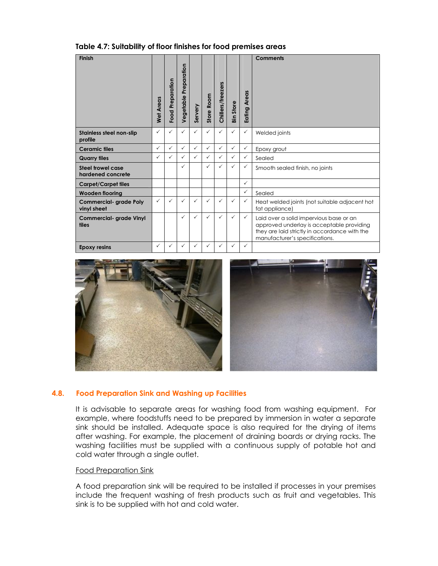| Table 4.7: Suitability of floor finishes for food premises areas |  |  |  |
|------------------------------------------------------------------|--|--|--|
|------------------------------------------------------------------|--|--|--|

| <b>Finish</b>                                | Wet Areas    | Food Preparation | Preparation<br>Vegetable | Servery      | Store Room   | Chillers/freezers | <b>Bin Store</b> | <b>Areas</b><br>Eating | Comments                                                                                                                                                                |
|----------------------------------------------|--------------|------------------|--------------------------|--------------|--------------|-------------------|------------------|------------------------|-------------------------------------------------------------------------------------------------------------------------------------------------------------------------|
| <b>Stainless steel non-slip</b><br>profile   | ✓            | ✓                | $\checkmark$             | $\checkmark$ | $\checkmark$ | $\checkmark$      | $\checkmark$     | $\checkmark$           | Welded joints                                                                                                                                                           |
| <b>Ceramic tiles</b>                         | $\checkmark$ | $\checkmark$     | $\checkmark$             | $\checkmark$ | $\checkmark$ | $\checkmark$      | $\checkmark$     | $\checkmark$           | Epoxy grout                                                                                                                                                             |
| <b>Quarry tiles</b>                          | $\checkmark$ | ✓                | ✓                        | $\checkmark$ | $\checkmark$ | $\checkmark$      | $\checkmark$     | ✓                      | Sealed                                                                                                                                                                  |
| Steel trowel case<br>hardened concrete       |              |                  | ✓                        |              | $\checkmark$ | ✓                 | $\checkmark$     | $\checkmark$           | Smooth sealed finish, no joints                                                                                                                                         |
| <b>Carpet/Carpet tiles</b>                   |              |                  |                          |              |              |                   |                  | $\checkmark$           |                                                                                                                                                                         |
| <b>Wooden flooring</b>                       |              |                  |                          |              |              |                   |                  | $\checkmark$           | Sealed                                                                                                                                                                  |
| <b>Commercial- grade Poly</b><br>vinyl sheet | ✓            | ✓                | ✓                        | ✓            | $\checkmark$ | ✓                 | $\checkmark$     | $\checkmark$           | Heat welded joints (not suitable adjacent hot<br>fat appliance)                                                                                                         |
| <b>Commercial- grade Vinyl</b><br>tiles      |              |                  | ✓                        | $\checkmark$ | $\checkmark$ | $\checkmark$      | $\checkmark$     | $\checkmark$           | Laid over a solid impervious base or an<br>approved underlay is acceptable providing<br>they are laid strictly in accordance with the<br>manufacturer's specifications. |
| <b>Epoxy resins</b>                          | $\checkmark$ | ✓                | ✓                        | ✓            | ✓            |                   | $\checkmark$     | $\checkmark$           |                                                                                                                                                                         |



#### 4.8. Food Preparation Sink and Washing up Facilities

It is advisable to separate areas for washing food from washing equipment. For example, where foodstuffs need to be prepared by immersion in water a separate sink should be installed. Adequate space is also required for the drying of items after washing. For example, the placement of draining boards or drying racks. The washing facilities must be supplied with a continuous supply of potable hot and cold water through a single outlet.

#### Food Preparation Sink

A food preparation sink will be required to be installed if processes in your premises include the frequent washing of fresh products such as fruit and vegetables. This sink is to be supplied with hot and cold water.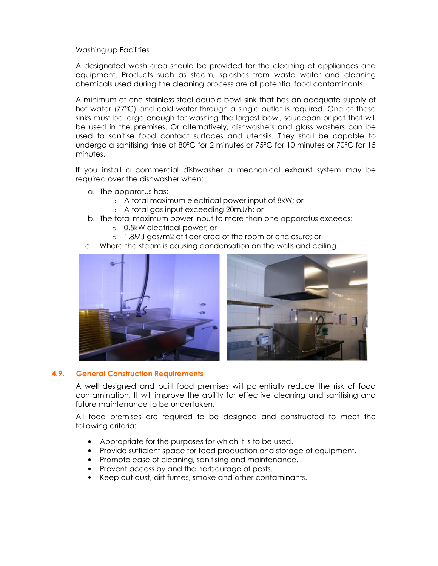#### Washing up Facilities

A designated wash area should be provided for the cleaning of appliances and equipment. Products such as steam, splashes from waste water and cleaning chemicals used during the cleaning process are all potential food contaminants.

A minimum of one stainless steel double bowl sink that has an adequate supply of hot water (77ºC) and cold water through a single outlet is required. One of these sinks must be large enough for washing the largest bowl, saucepan or pot that will be used in the premises. Or alternatively, dishwashers and glass washers can be used to sanitise food contact surfaces and utensils. They shall be capable to undergo a sanitising rinse at 80°C for 2 minutes or 75°C for 10 minutes or 70°C for 15 minutes.

If you install a commercial dishwasher a mechanical exhaust system may be required over the dishwasher when:

- a. The apparatus has:
	- o A total maximum electrical power input of 8kW; or
	- o A total gas input exceeding 20mJ/h; or
- b. The total maximum power input to more than one apparatus exceeds:
	- o 0.5kW electrical power; or
	- o 1.8MJ gas/m2 of floor area of the room or enclosure; or
- c. Where the steam is causing condensation on the walls and ceiling.





#### 4.9. General Construction Requirements

A well designed and built food premises will potentially reduce the risk of food contamination. It will improve the ability for effective cleaning and sanitising and future maintenance to be undertaken.

All food premises are required to be designed and constructed to meet the following criteria:

- Appropriate for the purposes for which it is to be used.
- Provide sufficient space for food production and storage of equipment.
- Promote ease of cleaning, sanitising and maintenance.
- Prevent access by and the harbourage of pests.
- Keep out dust, dirt fumes, smoke and other contaminants.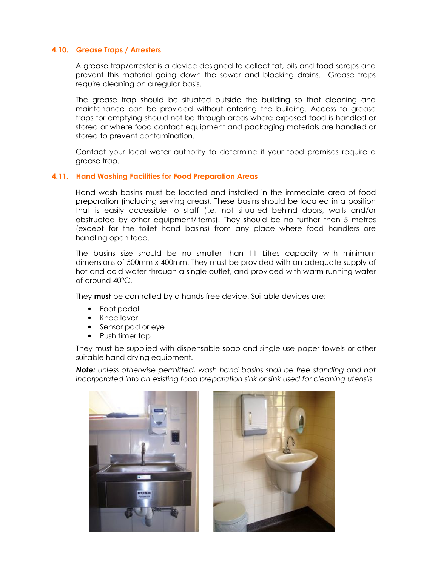#### 4.10. Grease Traps / Arresters

A grease trap/arrester is a device designed to collect fat, oils and food scraps and prevent this material going down the sewer and blocking drains. Grease traps require cleaning on a regular basis.

The grease trap should be situated outside the building so that cleaning and maintenance can be provided without entering the building. Access to grease traps for emptying should not be through areas where exposed food is handled or stored or where food contact equipment and packaging materials are handled or stored to prevent contamination.

Contact your local water authority to determine if your food premises require a grease trap.

#### 4.11. Hand Washing Facilities for Food Preparation Areas

Hand wash basins must be located and installed in the immediate area of food preparation (including serving areas). These basins should be located in a position that is easily accessible to staff (i.e. not situated behind doors, walls and/or obstructed by other equipment/items). They should be no further than 5 metres (except for the toilet hand basins) from any place where food handlers are handling open food.

The basins size should be no smaller than 11 Litres capacity with minimum dimensions of 500mm x 400mm. They must be provided with an adequate supply of hot and cold water through a single outlet, and provided with warm running water of around 40ºC.

They **must** be controlled by a hands free device. Suitable devices are:

- Foot pedal
- Knee lever
- Sensor pad or eye
- Push timer tap

They must be supplied with dispensable soap and single use paper towels or other suitable hand drying equipment.

Note: unless otherwise permitted, wash hand basins shall be free standing and not incorporated into an existing food preparation sink or sink used for cleaning utensils.



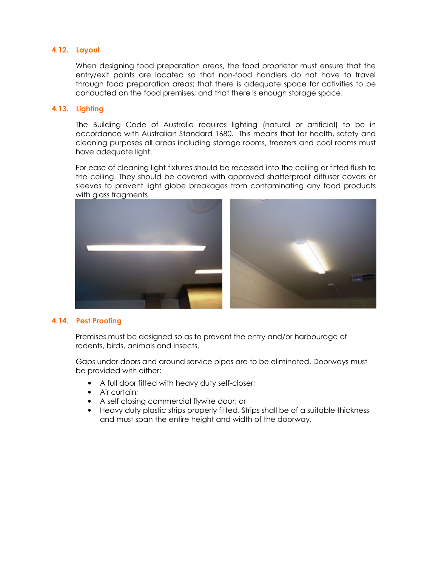#### 4.12. Layout

When designing food preparation areas, the food proprietor must ensure that the entry/exit points are located so that non-food handlers do not have to travel through food preparation areas; that there is adequate space for activities to be conducted on the food premises; and that there is enough storage space.

#### 4.13. Lighting

The Building Code of Australia requires lighting (natural or artificial) to be in accordance with Australian Standard 1680. This means that for health, safety and cleaning purposes all areas including storage rooms, freezers and cool rooms must have adequate light.

For ease of cleaning light fixtures should be recessed into the ceiling or fitted flush to the ceiling. They should be covered with approved shatterproof diffuser covers or sleeves to prevent light globe breakages from contaminating any food products with glass fragments.



#### 4.14. Pest Proofing

Premises must be designed so as to prevent the entry and/or harbourage of rodents, birds, animals and insects.

Gaps under doors and around service pipes are to be eliminated. Doorways must be provided with either:

- A full door fitted with heavy duty self-closer;
- Air curtain;
- A self closing commercial flywire door; or
- Heavy duty plastic strips properly fitted. Strips shall be of a suitable thickness and must span the entire height and width of the doorway.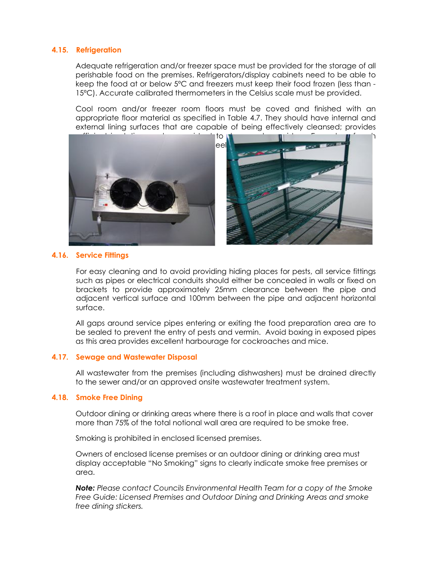#### 4.15. Refrigeration

Adequate refrigeration and/or freezer space must be provided for the storage of all perishable food on the premises. Refrigerators/display cabinets need to be able to keep the food at or below 5ºC and freezers must keep their food frozen (less than - 15ºC). Accurate calibrated thermometers in the Celsius scale must be provided.

Cool room and/or freezer room floors must be coved and finished with an appropriate floor material as specified in Table 4.7. They should have internal and external lining surfaces that are capable of being effectively cleansed; provides



#### 4.16. Service Fittings

For easy cleaning and to avoid providing hiding places for pests, all service fittings such as pipes or electrical conduits should either be concealed in walls or fixed on brackets to provide approximately 25mm clearance between the pipe and adjacent vertical surface and 100mm between the pipe and adjacent horizontal surface.

All gaps around service pipes entering or exiting the food preparation area are to be sealed to prevent the entry of pests and vermin. Avoid boxing in exposed pipes as this area provides excellent harbourage for cockroaches and mice.

#### 4.17. Sewage and Wastewater Disposal

All wastewater from the premises (including dishwashers) must be drained directly to the sewer and/or an approved onsite wastewater treatment system.

#### 4.18. Smoke Free Dining

Outdoor dining or drinking areas where there is a roof in place and walls that cover more than 75% of the total notional wall area are required to be smoke free.

Smoking is prohibited in enclosed licensed premises.

Owners of enclosed license premises or an outdoor dining or drinking area must display acceptable "No Smoking" signs to clearly indicate smoke free premises or area.

Note: Please contact Councils Environmental Health Team for a copy of the Smoke Free Guide: Licensed Premises and Outdoor Dining and Drinking Areas and smoke free dining stickers.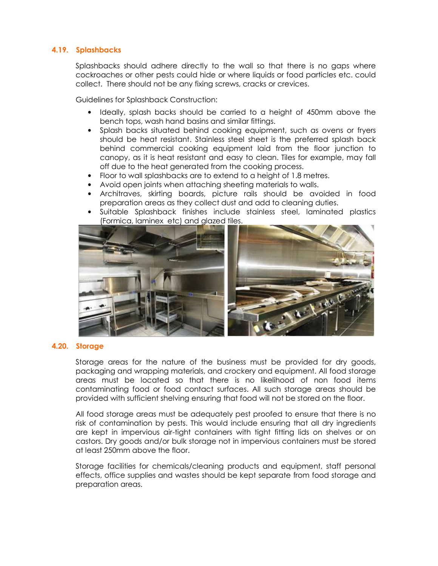#### 4.19. Splashbacks

Splashbacks should adhere directly to the wall so that there is no gaps where cockroaches or other pests could hide or where liquids or food particles etc. could collect. There should not be any fixing screws, cracks or crevices.

Guidelines for Splashback Construction:

- Ideally, splash backs should be carried to a height of 450mm above the bench tops, wash hand basins and similar fittings.
- Splash backs situated behind cooking equipment, such as ovens or fryers should be heat resistant. Stainless steel sheet is the preferred splash back behind commercial cooking equipment laid from the floor junction to canopy, as it is heat resistant and easy to clean. Tiles for example, may fall off due to the heat generated from the cooking process.
- Floor to wall splashbacks are to extend to a height of 1.8 metres.
- Avoid open joints when attaching sheeting materials to walls.
- Architraves, skirting boards, picture rails should be avoided in food preparation areas as they collect dust and add to cleaning duties.
- Suitable Splashback finishes include stainless steel, laminated plastics (Formica, laminex etc) and glazed tiles.



#### 4.20. Storage

Storage areas for the nature of the business must be provided for dry goods, packaging and wrapping materials, and crockery and equipment. All food storage areas must be located so that there is no likelihood of non food items contaminating food or food contact surfaces. All such storage areas should be provided with sufficient shelving ensuring that food will not be stored on the floor.

All food storage areas must be adequately pest proofed to ensure that there is no risk of contamination by pests. This would include ensuring that all dry ingredients are kept in impervious air-tight containers with tight fitting lids on shelves or on castors. Dry goods and/or bulk storage not in impervious containers must be stored at least 250mm above the floor.

Storage facilities for chemicals/cleaning products and equipment, staff personal effects, office supplies and wastes should be kept separate from food storage and preparation areas.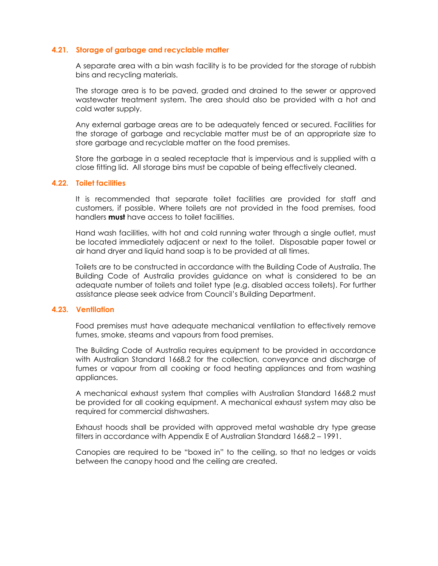#### 4.21. Storage of garbage and recyclable matter

A separate area with a bin wash facility is to be provided for the storage of rubbish bins and recycling materials.

The storage area is to be paved, graded and drained to the sewer or approved wastewater treatment system. The area should also be provided with a hot and cold water supply.

Any external garbage areas are to be adequately fenced or secured. Facilities for the storage of garbage and recyclable matter must be of an appropriate size to store garbage and recyclable matter on the food premises.

Store the garbage in a sealed receptacle that is impervious and is supplied with a close fitting lid. All storage bins must be capable of being effectively cleaned.

#### 4.22. Toilet facilities

It is recommended that separate toilet facilities are provided for staff and customers, if possible. Where toilets are not provided in the food premises, food handlers **must** have access to toilet facilities.

Hand wash facilities, with hot and cold running water through a single outlet, must be located immediately adjacent or next to the toilet. Disposable paper towel or air hand dryer and liquid hand soap is to be provided at all times.

Toilets are to be constructed in accordance with the Building Code of Australia. The Building Code of Australia provides guidance on what is considered to be an adequate number of toilets and toilet type (e.g. disabled access toilets). For further assistance please seek advice from Council's Building Department.

#### 4.23. Ventilation

Food premises must have adequate mechanical ventilation to effectively remove fumes, smoke, steams and vapours from food premises.

The Building Code of Australia requires equipment to be provided in accordance with Australian Standard 1668.2 for the collection, conveyance and discharge of fumes or vapour from all cooking or food heating appliances and from washing appliances.

A mechanical exhaust system that complies with Australian Standard 1668.2 must be provided for all cooking equipment. A mechanical exhaust system may also be required for commercial dishwashers.

Exhaust hoods shall be provided with approved metal washable dry type grease filters in accordance with Appendix E of Australian Standard 1668.2 – 1991.

Canopies are required to be "boxed in" to the ceiling, so that no ledges or voids between the canopy hood and the ceiling are created.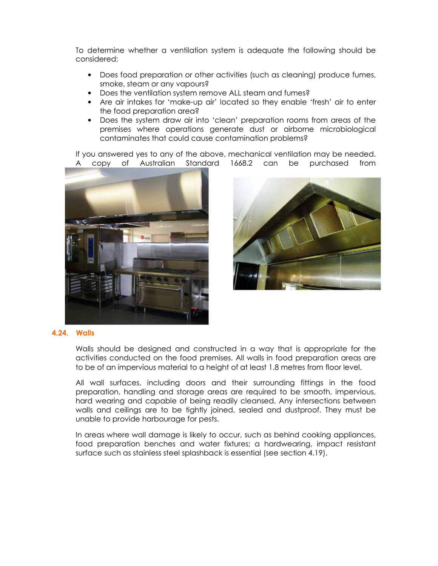To determine whether a ventilation system is adequate the following should be considered:

- Does food preparation or other activities (such as cleaning) produce fumes, smoke, steam or any vapours?
- Does the ventilation system remove ALL steam and fumes?
- Are air intakes for 'make-up air' located so they enable 'fresh' air to enter the food preparation area?
- Does the system draw air into 'clean' preparation rooms from areas of the premises where operations generate dust or airborne microbiological contaminates that could cause contamination problems?

If you answered yes to any of the above, mechanical ventilation may be needed. A copy of Australian Standard 1668.2 can be purchased from





#### 4.24. Walls

Walls should be designed and constructed in a way that is appropriate for the activities conducted on the food premises. All walls in food preparation areas are to be of an impervious material to a height of at least 1.8 metres from floor level.

All wall surfaces, including doors and their surrounding fittings in the food preparation, handling and storage areas are required to be smooth, impervious, hard wearing and capable of being readily cleansed. Any intersections between walls and ceilings are to be tightly joined, sealed and dustproof. They must be unable to provide harbourage for pests.

In areas where wall damage is likely to occur, such as behind cooking appliances, food preparation benches and water fixtures; a hardwearing, impact resistant surface such as stainless steel splashback is essential (see section 4.19).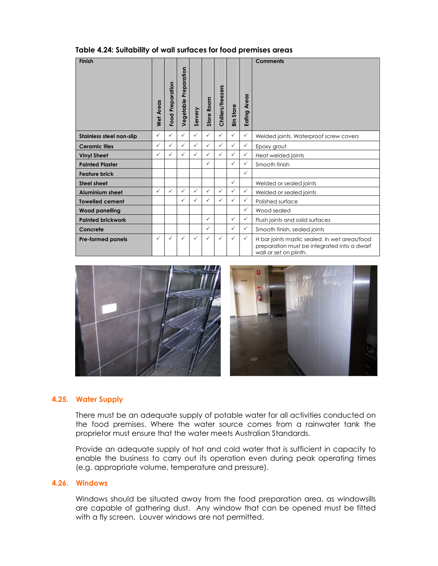|  |  | Table 4.24: Suitability of wall surfaces for food premises areas |
|--|--|------------------------------------------------------------------|
|--|--|------------------------------------------------------------------|

| <b>Finish</b>            |                  |                  |                          |              |                   |                   |              |                 | <b>Comments</b>                                                                                                        |
|--------------------------|------------------|------------------|--------------------------|--------------|-------------------|-------------------|--------------|-----------------|------------------------------------------------------------------------------------------------------------------------|
|                          | <b>Wet Areas</b> | Food Preparation | Preparation<br>Vegetable | Servery      | <b>Store Room</b> | Chillers/freezers | Bin Store    | Areas<br>Eating |                                                                                                                        |
| Stainless steel non-slip | $\checkmark$     | ✓                | $\checkmark$             | $\checkmark$ | $\checkmark$      | $\checkmark$      | $\checkmark$ | $\checkmark$    | Welded joints. Waterproof screw covers                                                                                 |
| <b>Ceramic tiles</b>     | ✓                | ✓                | $\checkmark$             | $\checkmark$ | $\checkmark$      | $\checkmark$      | $\checkmark$ | $\checkmark$    | Epoxy grout                                                                                                            |
| <b>Vinyl Sheet</b>       | ✓                | $\checkmark$     | ✓                        | $\checkmark$ | $\checkmark$      | $\checkmark$      | $\checkmark$ | $\checkmark$    | Heat welded joints                                                                                                     |
| <b>Painted Plaster</b>   |                  |                  |                          |              | ✓                 |                   | $\checkmark$ | $\checkmark$    | Smooth finish                                                                                                          |
| <b>Feature brick</b>     |                  |                  |                          |              |                   |                   |              | $\checkmark$    |                                                                                                                        |
| <b>Steel sheet</b>       |                  |                  |                          |              |                   |                   | $\checkmark$ |                 | Welded or sealed joints                                                                                                |
| <b>Aluminium sheet</b>   | ✓                | ✓                | $\checkmark$             | $\checkmark$ | $\checkmark$      | $\checkmark$      | $\checkmark$ | $\checkmark$    | Welded or sealed joints                                                                                                |
| <b>Towelled cement</b>   |                  |                  | ✓                        | $\checkmark$ | $\checkmark$      | $\checkmark$      | $\checkmark$ | $\checkmark$    | Polished surface                                                                                                       |
| <b>Wood panelling</b>    |                  |                  |                          |              |                   |                   |              | $\checkmark$    | Wood sealed                                                                                                            |
| <b>Painted brickwork</b> |                  |                  |                          |              | $\checkmark$      |                   | $\checkmark$ | $\checkmark$    | Flush joints and solid surfaces                                                                                        |
| Concrete                 |                  |                  |                          |              | $\checkmark$      |                   | $\checkmark$ | $\checkmark$    | Smooth finish, sealed joints                                                                                           |
| <b>Pre-formed panels</b> | ✓                | $\checkmark$     | ✓                        | $\checkmark$ | ✓                 | $\checkmark$      | $\checkmark$ | $\checkmark$    | H bar joints mastic sealed. In wet areas/food<br>preparation must be integrated into a dwarf<br>wall or set on plinth. |



#### 4.25. Water Supply

There must be an adequate supply of potable water for all activities conducted on the food premises. Where the water source comes from a rainwater tank the proprietor must ensure that the water meets Australian Standards.

Provide an adequate supply of hot and cold water that is sufficient in capacity to enable the business to carry out its operation even during peak operating times (e.g. appropriate volume, temperature and pressure).

#### 4.26. Windows

Windows should be situated away from the food preparation area, as windowsills are capable of gathering dust. Any window that can be opened must be fitted with a fly screen. Louver windows are not permitted.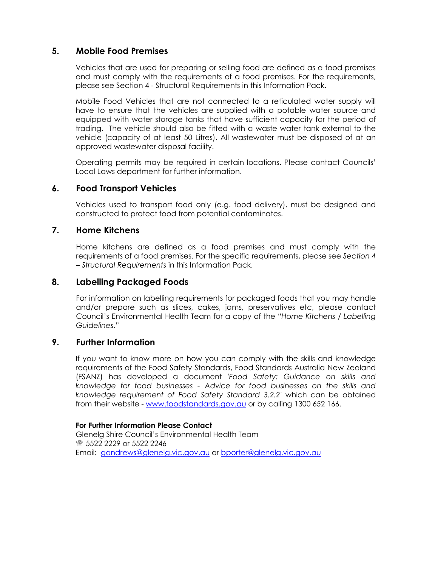## 5. Mobile Food Premises

Vehicles that are used for preparing or selling food are defined as a food premises and must comply with the requirements of a food premises. For the requirements, please see Section 4 - Structural Requirements in this Information Pack.

Mobile Food Vehicles that are not connected to a reticulated water supply will have to ensure that the vehicles are supplied with a potable water source and equipped with water storage tanks that have sufficient capacity for the period of trading. The vehicle should also be fitted with a waste water tank external to the vehicle (capacity of at least 50 Litres). All wastewater must be disposed of at an approved wastewater disposal facility.

Operating permits may be required in certain locations. Please contact Councils' Local Laws department for further information.

## 6. Food Transport Vehicles

Vehicles used to transport food only (e.g. food delivery), must be designed and constructed to protect food from potential contaminates.

## 7. Home Kitchens

Home kitchens are defined as a food premises and must comply with the requirements of a food premises. For the specific requirements, please see Section 4 – Structural Requirements in this Information Pack.

## 8. Labelling Packaged Foods

For information on labelling requirements for packaged foods that you may handle and/or prepare such as slices, cakes, jams, preservatives etc, please contact Council's Environmental Health Team for a copy of the "Home Kitchens / Labelling Guidelines."

#### 9. Further Information

If you want to know more on how you can comply with the skills and knowledge requirements of the Food Safety Standards, Food Standards Australia New Zealand (FSANZ) has developed a document 'Food Safety: Guidance on skills and knowledge for food businesses - Advice for food businesses on the skills and knowledge requirement of Food Safety Standard 3.2.2' which can be obtained from their website - www.foodstandards.gov.au or by calling 1300 652 166.

#### For Further Information Please Contact

Glenelg Shire Council's Environmental Health Team **图 5522 2229 or 5522 2246** Email: gandrews@glenelg.vic.gov.au or bporter@glenelg.vic.gov.au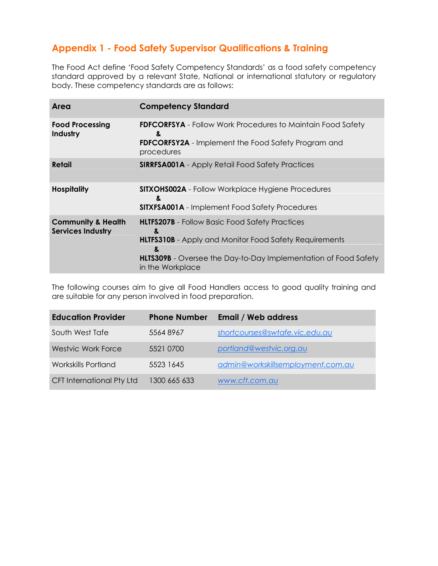## Appendix 1 - Food Safety Supervisor Qualifications & Training

The Food Act define 'Food Safety Competency Standards' as a food safety competency standard approved by a relevant State, National or international statutory or regulatory body. These competency standards are as follows:

| Area                                                      | <b>Competency Standard</b>                                                                                                                                                                                                     |
|-----------------------------------------------------------|--------------------------------------------------------------------------------------------------------------------------------------------------------------------------------------------------------------------------------|
| <b>Food Processing</b><br>Industry                        | <b>FDFCORFSYA</b> - Follow Work Procedures to Maintain Food Safety<br>&<br><b>FDFCORFSY2A</b> - Implement the Food Safety Program and<br>procedures                                                                            |
| Retail                                                    | <b>SIRRFSA001A</b> - Apply Retail Food Safety Practices                                                                                                                                                                        |
| <b>Hospitality</b>                                        | <b>SITXOHS002A</b> - Follow Workplace Hygiene Procedures<br>&<br><b>SITXFSA001A</b> - Implement Food Safety Procedures                                                                                                         |
| <b>Community &amp; Health</b><br><b>Services Industry</b> | <b>HLTFS207B</b> - Follow Basic Food Safety Practices<br>&<br><b>HLTFS310B</b> - Apply and Monitor Food Safety Requirements<br>&<br><b>HLTS309B</b> - Oversee the Day-to-Day Implementation of Food Safety<br>in the Workplace |

The following courses aim to give all Food Handlers access to good quality training and are suitable for any person involved in food preparation.

| <b>Education Provider</b>        | <b>Phone Number</b> | <b>Email / Web address</b>        |
|----------------------------------|---------------------|-----------------------------------|
| South West Tafe                  | 55648967            | shortcourses@swtafe.vic.edu.au    |
| <b>Westvic Work Force</b>        | 5521 0700           | portland@westvic.org.au           |
| <b>Workskills Portland</b>       | 5523 1645           | admin@workskillsemployment.com.au |
| <b>CFT International Pty Ltd</b> | 1300 665 633        | www.cft.com.au                    |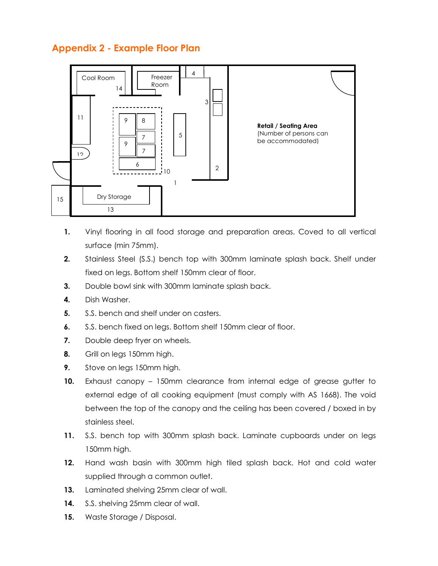## Appendix 2 - Example Floor Plan



- 1. Vinyl flooring in all food storage and preparation areas. Coved to all vertical surface (min 75mm).
- 2. Stainless Steel (S.S.) bench top with 300mm laminate splash back. Shelf under fixed on legs. Bottom shelf 150mm clear of floor.
- **3.** Double bowl sink with 300mm laminate splash back.
- 4. Dish Washer.
- 5. S.S. bench and shelf under on casters.
- 6. S.S. bench fixed on legs. Bottom shelf 150mm clear of floor.
- 7. Double deep fryer on wheels.
- 8. Grill on legs 150mm high.
- 9. Stove on legs 150mm high.
- 10. Exhaust canopy 150mm clearance from internal edge of grease gutter to external edge of all cooking equipment (must comply with AS 1668). The void between the top of the canopy and the ceiling has been covered / boxed in by stainless steel.
- 11. S.S. bench top with 300mm splash back. Laminate cupboards under on legs 150mm high.
- 12. Hand wash basin with 300mm high tiled splash back. Hot and cold water supplied through a common outlet.
- 13. Laminated shelving 25mm clear of wall.
- 14. S.S. shelving 25mm clear of wall.
- 15. Waste Storage / Disposal.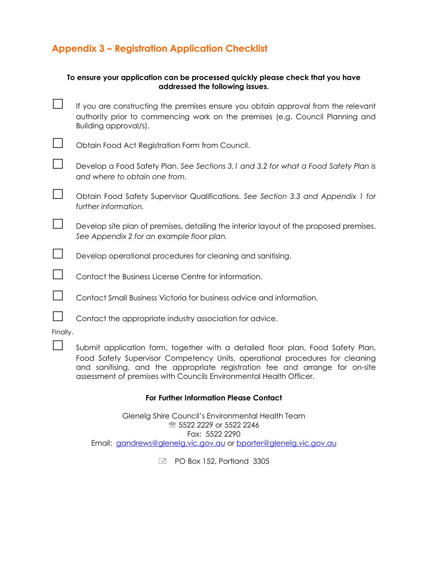## Appendix 3 – Registration Application Checklist

|          | To ensure your application can be processed quickly please check that you have<br>addressed the following issues.                                                                                                                               |
|----------|-------------------------------------------------------------------------------------------------------------------------------------------------------------------------------------------------------------------------------------------------|
|          | If you are constructing the premises ensure you obtain approval from the relevant<br>authority prior to commencing work on the premises (e.g. Council Planning and<br>Building approval/s).                                                     |
|          | Obtain Food Act Registration Form from Council.                                                                                                                                                                                                 |
|          | Develop a Food Safety Plan. See Sections 3.1 and 3.2 for what a Food Safety Plan is<br>and where to obtain one from.                                                                                                                            |
|          | Obtain Food Safety Supervisor Qualifications. See Section 3.3 and Appendix 1 for<br>further information.                                                                                                                                        |
|          | Develop site plan of premises, detailing the interior layout of the proposed premises.<br>See Appendix 2 for an example floor plan.                                                                                                             |
|          | Develop operational procedures for cleaning and sanitising.                                                                                                                                                                                     |
|          | Contact the Business License Centre for information.                                                                                                                                                                                            |
|          | Contact Small Business Victoria for business advice and information.                                                                                                                                                                            |
|          | Contact the appropriate industry association for advice.                                                                                                                                                                                        |
| Finally. |                                                                                                                                                                                                                                                 |
|          | Submit application form, together with a detailed floor plan, Food Safety Plan,<br>Food Safety Supervisor Competency Units, operational procedures for cleaning<br>and sanitising, and the appropriate registration fee and arrange for on-site |

#### For Further Information Please Contact

assessment of premises with Councils Environmental Health Officer.

Glenelg Shire Council's Environmental Health Team **® 5522 2229 or 5522 2246** Fax: 5522 2290 Email: gandrews@glenelg.vic.gov.au or bporter@glenelg.vic.gov.au

PO Box 152, Portland 3305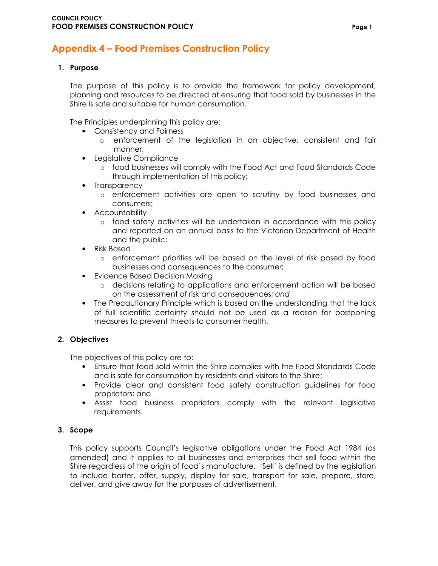## Appendix 4 – Food Premises Construction Policy

#### 1. Purpose

The purpose of this policy is to provide the framework for policy development, planning and resources to be directed at ensuring that food sold by businesses in the Shire is safe and suitable for human consumption.

The Principles underpinning this policy are:

- Consistency and Fairness
	- o enforcement of the legislation in an objective, consistent and fair manner;
- Legislative Compliance
	- o food businesses will comply with the Food Act and Food Standards Code through implementation of this policy;
- Transparency
	- o enforcement activities are open to scrutiny by food businesses and consumers;
- Accountability
	- o food safety activities will be undertaken in accordance with this policy and reported on an annual basis to the Victorian Department of Health and the public;
- Risk Based
	- o enforcement priorities will be based on the level of risk posed by food businesses and consequences to the consumer;
- Evidence Based Decision Making
	- o decisions relating to applications and enforcement action will be based on the assessment of risk and consequences; and
- The Precautionary Principle which is based on the understanding that the lack of full scientific certainty should not be used as a reason for postponing measures to prevent threats to consumer health.

#### 2. Objectives

The objectives of this policy are to:

- Ensure that food sold within the Shire complies with the Food Standards Code and is safe for consumption by residents and visitors to the Shire;
- Provide clear and consistent food safety construction guidelines for food proprietors; and
- Assist food business proprietors comply with the relevant legislative requirements.

#### 3. Scope

This policy supports Council's legislative obligations under the Food Act 1984 (as amended) and it applies to all businesses and enterprises that sell food within the Shire regardless of the origin of food's manufacture. 'Sell' is defined by the legislation to include barter, offer, supply, display for sale, transport for sale, prepare, store, deliver, and give away for the purposes of advertisement.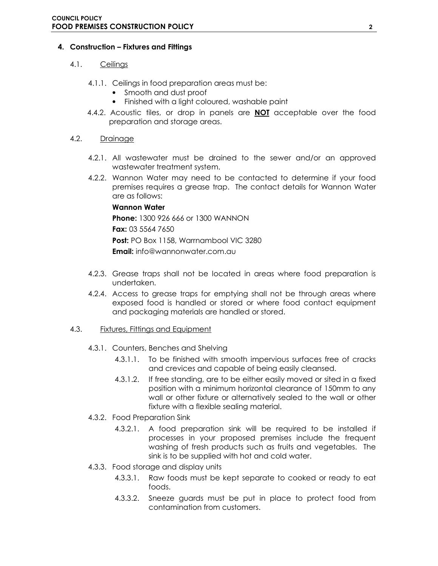#### 4. Construction – Fixtures and Fittings

#### 4.1. Ceilings

- 4.1.1. Ceilings in food preparation areas must be:
	- Smooth and dust proof
	- Finished with a light coloured, washable paint
- 4.4.2. Acoustic tiles, or drop in panels are **NOT** acceptable over the food preparation and storage areas.

#### 4.2. Drainage

- 4.2.1. All wastewater must be drained to the sewer and/or an approved wastewater treatment system.
- 4.2.2. Wannon Water may need to be contacted to determine if your food premises requires a grease trap. The contact details for Wannon Water are as follows:

#### Wannon Water

Phone: 1300 926 666 or 1300 WANNON Fax: 03 5564 7650 Post: PO Box 1158, Warrnambool VIC 3280 Email: info@wannonwater.com.au

- 4.2.3. Grease traps shall not be located in areas where food preparation is undertaken.
- 4.2.4. Access to grease traps for emptying shall not be through areas where exposed food is handled or stored or where food contact equipment and packaging materials are handled or stored.
- 4.3. Fixtures, Fittings and Equipment
	- 4.3.1. Counters, Benches and Shelving
		- 4.3.1.1. To be finished with smooth impervious surfaces free of cracks and crevices and capable of being easily cleansed.
		- 4.3.1.2. If free standing, are to be either easily moved or sited in a fixed position with a minimum horizontal clearance of 150mm to any wall or other fixture or alternatively sealed to the wall or other fixture with a flexible sealing material.
	- 4.3.2. Food Preparation Sink
		- 4.3.2.1. A food preparation sink will be required to be installed if processes in your proposed premises include the frequent washing of fresh products such as fruits and vegetables. The sink is to be supplied with hot and cold water.
	- 4.3.3. Food storage and display units
		- 4.3.3.1. Raw foods must be kept separate to cooked or ready to eat foods.
		- 4.3.3.2. Sneeze guards must be put in place to protect food from contamination from customers.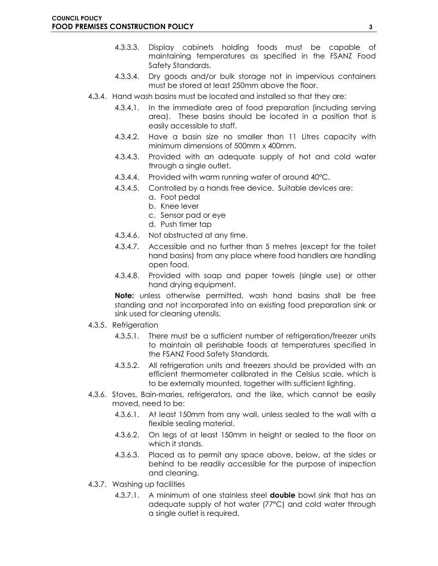- 4.3.3.3. Display cabinets holding foods must be capable of maintaining temperatures as specified in the FSANZ Food Safety Standards.
- 4.3.3.4. Dry goods and/or bulk storage not in impervious containers must be stored at least 250mm above the floor.
- 4.3.4. Hand wash basins must be located and installed so that they are:
	- 4.3.4.1. In the immediate area of food preparation (including serving area). These basins should be located in a position that is easily accessible to staff.
	- 4.3.4.2. Have a basin size no smaller than 11 Litres capacity with minimum dimensions of 500mm x 400mm.
	- 4.3.4.3. Provided with an adequate supply of hot and cold water through a single outlet.
	- 4.3.4.4. Provided with warm running water of around 40°C.
	- 4.3.4.5. Controlled by a hands free device. Suitable devices are:
		- a. Foot pedal
		- b. Knee lever
		- c. Sensor pad or eye
		- d. Push timer tap
	- 4.3.4.6. Not obstructed at any time.
	- 4.3.4.7. Accessible and no further than 5 metres (except for the toilet hand basins) from any place where food handlers are handling open food.
	- 4.3.4.8. Provided with soap and paper towels (single use) or other hand drying equipment.

Note: unless otherwise permitted, wash hand basins shall be free standing and not incorporated into an existing food preparation sink or sink used for cleaning utensils.

- 4.3.5. Refrigeration
	- 4.3.5.1. There must be a sufficient number of refrigeration/freezer units to maintain all perishable foods at temperatures specified in the FSANZ Food Safety Standards.
	- 4.3.5.2. All refrigeration units and freezers should be provided with an efficient thermometer calibrated in the Celsius scale, which is to be externally mounted, together with sufficient lighting.
- 4.3.6. Stoves, Bain-maries, refrigerators, and the like, which cannot be easily moved, need to be:
	- 4.3.6.1. At least 150mm from any wall, unless sealed to the wall with a flexible sealing material.
	- 4.3.6.2. On legs of at least 150mm in height or sealed to the floor on which it stands.
	- 4.3.6.3. Placed as to permit any space above, below, at the sides or behind to be readily accessible for the purpose of inspection and cleaning.
- 4.3.7. Washing up facilities
	- 4.3.7.1. A minimum of one stainless steel **double** bowl sink that has an adequate supply of hot water (77°C) and cold water through a single outlet is required.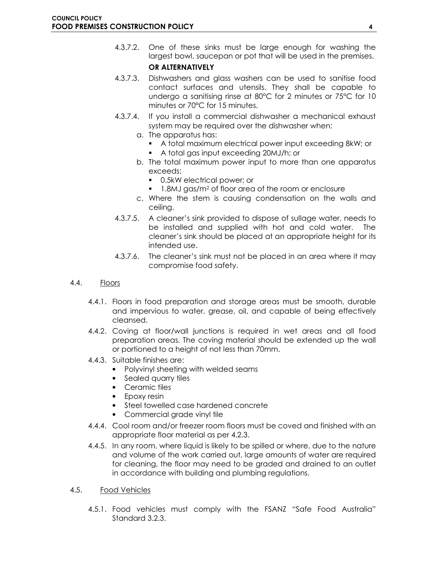- 4.3.7.2. One of these sinks must be large enough for washing the largest bowl, saucepan or pot that will be used in the premises. OR ALTERNATIVELY
- 4.3.7.3. Dishwashers and glass washers can be used to sanitise food contact surfaces and utensils. They shall be capable to undergo a sanitising rinse at 80°C for 2 minutes or 75°C for 10 minutes or 70°C for 15 minutes.
- 4.3.7.4. If you install a commercial dishwasher a mechanical exhaust system may be required over the dishwasher when:
	- a. The apparatus has:
		- A total maximum electrical power input exceeding 8kW; or
		- A total gas input exceeding 20MJ/h; or
	- b. The total maximum power input to more than one apparatus exceeds:
		- 0.5kW electrical power; or
		- 1.8MJ gas/m<sup>2</sup> of floor area of the room or enclosure
	- c. Where the stem is causing condensation on the walls and ceiling.
- 4.3.7.5. A cleaner's sink provided to dispose of sullage water, needs to be installed and supplied with hot and cold water. The cleaner's sink should be placed at an appropriate height for its intended use.
- 4.3.7.6. The cleaner's sink must not be placed in an area where it may compromise food safety.
- 4.4. Floors
	- 4.4.1. Floors in food preparation and storage areas must be smooth, durable and impervious to water, grease, oil, and capable of being effectively cleansed.
	- 4.4.2. Coving at floor/wall junctions is required in wet areas and all food preparation areas. The coving material should be extended up the wall or portioned to a height of not less than 70mm.
	- 4.4.3. Suitable finishes are:
		- Polyvinyl sheeting with welded seams
		- Sealed quarry tiles
		- Ceramic tiles
		- Epoxy resin
		- Steel towelled case hardened concrete
		- Commercial grade vinyl tile
	- 4.4.4. Cool room and/or freezer room floors must be coved and finished with an appropriate floor material as per 4.2.3.
	- 4.4.5. In any room, where liquid is likely to be spilled or where, due to the nature and volume of the work carried out, large amounts of water are required for cleaning, the floor may need to be graded and drained to an outlet in accordance with building and plumbing regulations.
- 4.5. Food Vehicles
	- 4.5.1. Food vehicles must comply with the FSANZ "Safe Food Australia" Standard 3.2.3.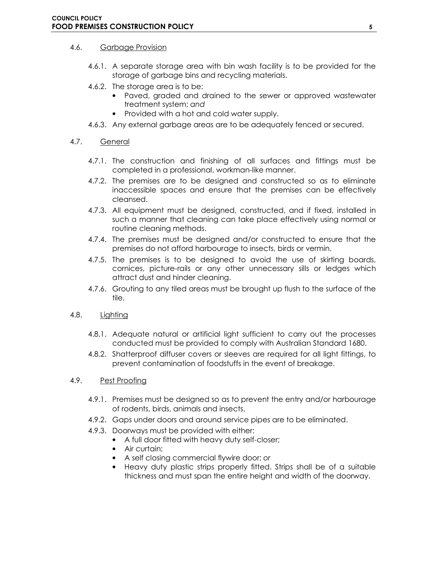#### 4.6. Garbage Provision

- 4.6.1. A separate storage area with bin wash facility is to be provided for the storage of garbage bins and recycling materials.
- 4.6.2. The storage area is to be:
	- Paved, graded and drained to the sewer or approved wastewater treatment system; and
	- Provided with a hot and cold water supply.
- 4.6.3. Any external garbage areas are to be adequately fenced or secured.

#### 4.7. General

- 4.7.1. The construction and finishing of all surfaces and fittings must be completed in a professional, workman-like manner.
- 4.7.2. The premises are to be designed and constructed so as to eliminate inaccessible spaces and ensure that the premises can be effectively cleansed.
- 4.7.3. All equipment must be designed, constructed, and if fixed, installed in such a manner that cleaning can take place effectively using normal or routine cleaning methods.
- 4.7.4. The premises must be designed and/or constructed to ensure that the premises do not afford harbourage to insects, birds or vermin.
- 4.7.5. The premises is to be designed to avoid the use of skirting boards, cornices, picture-rails or any other unnecessary sills or ledges which attract dust and hinder cleaning.
- 4.7.6. Grouting to any tiled areas must be brought up flush to the surface of the tile.

#### 4.8. Lighting

- 4.8.1. Adequate natural or artificial light sufficient to carry out the processes conducted must be provided to comply with Australian Standard 1680.
- 4.8.2. Shatterproof diffuser covers or sleeves are required for all light fittings, to prevent contamination of foodstuffs in the event of breakage.

#### 4.9. Pest Proofing

- 4.9.1. Premises must be designed so as to prevent the entry and/or harbourage of rodents, birds, animals and insects.
- 4.9.2. Gaps under doors and around service pipes are to be eliminated.
- 4.9.3. Doorways must be provided with either:
	- A full door fitted with heavy duty self-closer;
	- Air curtain;
	- A self closing commercial flywire door; or
	- Heavy duty plastic strips properly fitted. Strips shall be of a suitable thickness and must span the entire height and width of the doorway.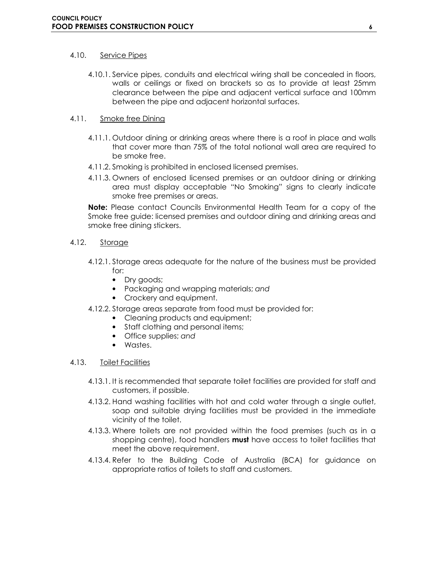#### 4.10. Service Pipes

4.10.1. Service pipes, conduits and electrical wiring shall be concealed in floors, walls or ceilings or fixed on brackets so as to provide at least 25mm clearance between the pipe and adjacent vertical surface and 100mm between the pipe and adjacent horizontal surfaces.

#### 4.11. Smoke free Dining

- 4.11.1. Outdoor dining or drinking areas where there is a roof in place and walls that cover more than 75% of the total notional wall area are required to be smoke free.
- 4.11.2. Smoking is prohibited in enclosed licensed premises.
- 4.11.3. Owners of enclosed licensed premises or an outdoor dining or drinking area must display acceptable "No Smoking" signs to clearly indicate smoke free premises or areas.

Note: Please contact Councils Environmental Health Team for a copy of the Smoke free guide: licensed premises and outdoor dining and drinking areas and smoke free dining stickers.

#### 4.12. Storage

- 4.12.1. Storage areas adequate for the nature of the business must be provided for:
	- Dry goods;
	- Packaging and wrapping materials; and
	- Crockery and equipment.
- 4.12.2. Storage areas separate from food must be provided for:
	- Cleaning products and equipment;
	- Staff clothing and personal items;
	- Office supplies; and
	- Wastes.

#### 4.13. Toilet Facilities

- 4.13.1. It is recommended that separate toilet facilities are provided for staff and customers, if possible.
- 4.13.2. Hand washing facilities with hot and cold water through a single outlet, soap and suitable drying facilities must be provided in the immediate vicinity of the toilet.
- 4.13.3. Where toilets are not provided within the food premises (such as in a shopping centre), food handlers must have access to toilet facilities that meet the above requirement.
- 4.13.4. Refer to the Building Code of Australia (BCA) for guidance on appropriate ratios of toilets to staff and customers.